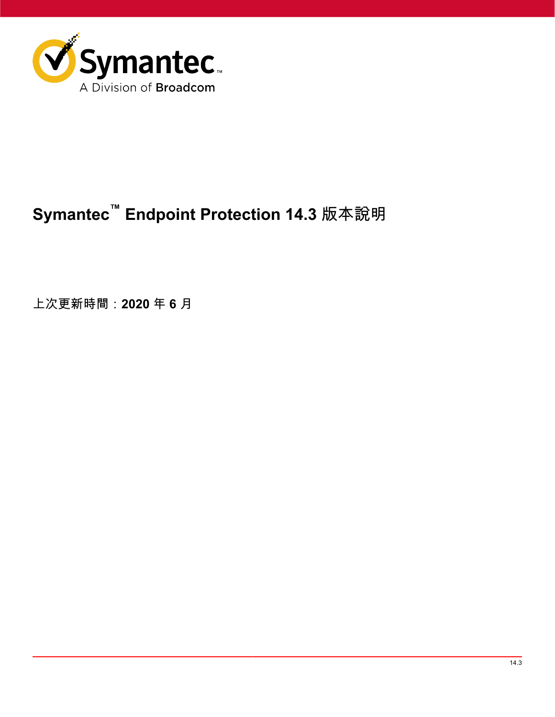

# **Symantec™ Endpoint Protection 14.3** 版本說明

上次更新時間:**2020** 年 **6** 月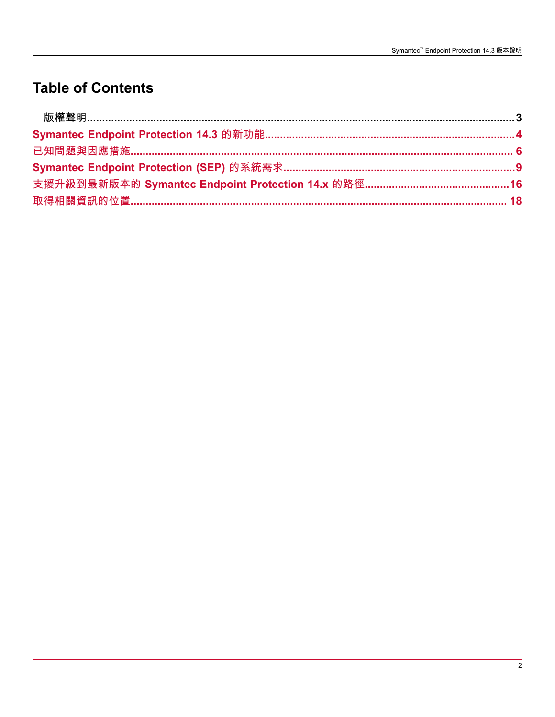## **Table of Contents**

| 支援升級到最新版本的 Symantec Endpoint Protection 14.x 的路徑…………………………………………16 |  |
|--------------------------------------------------------------------|--|
|                                                                    |  |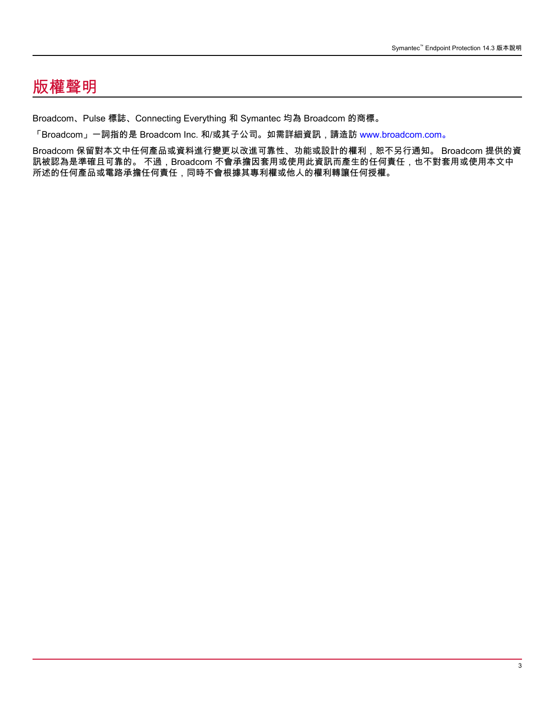## <span id="page-2-0"></span>版權聲明

Broadcom、Pulse 標誌、Connecting Everything 和 Symantec 均為 Broadcom 的商標。

「Broadcom」一詞指的是 Broadcom Inc. 和/或其子公司。如需詳細資訊,請造訪 [www.broadcom.com。](http://www.broadcom.com)

Broadcom 保留對本文中任何產品或資料進行變更以改進可靠性、功能或設計的權利,恕不另行通知。 Broadcom 提供的資 訊被認為是準確且可靠的。 不過,Broadcom 不會承擔因套用或使用此資訊而產生的任何責任,也不對套用或使用本文中 所述的任何產品或電路承擔任何責任,同時不會根據其專利權或他人的權利轉讓任何授權。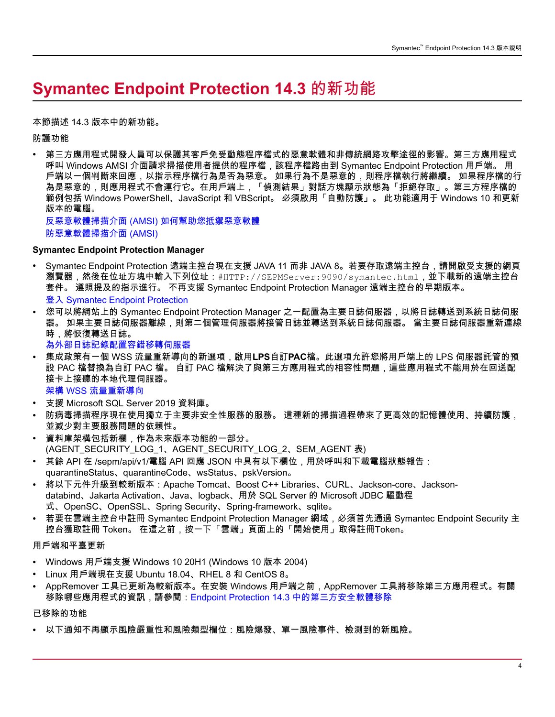## <span id="page-3-0"></span>**Symantec Endpoint Protection 14.3** 的新功能

#### 本節描述 14.3 版本中的新功能。

防護功能

• 第三方應用程式開發人員可以保護其客戶免受動態程序檔式的惡意軟體和非傳統網路攻擊途徑的影響。第三方應用程式 呼叫 Windows AMSI 介面請求掃描使用者提供的程序檔,該程序檔路由到 Symantec Endpoint Protection 用戶端。 用 戶端以一個判斷來回應,以指示程序檔行為是否為惡意。 如果行為不是惡意的,則程序檔執行將繼續。 如果程序檔的行 為是惡意的,則應用程式不會運行它。在用戶端上,「偵測結果」對話方塊顯示狀態為「拒絕存取」。第三方程序檔的 範例包括 Windows PowerShell、JavaScript 和 VBScript。 必須啟用「自動防護」。 此功能適用于 Windows 10 和更新 版本的電腦。

反惡意軟體掃描介面 (AMSI) [如何幫助您抵禦惡意軟體](https://docs.microsoft.com/en-us/windows/win32/amsi/how-amsi-helps) [防惡意軟體掃描介面](https://docs.microsoft.com/en-us/windows/win32/amsi/antimalware-scan-interface-portal) (AMSI)

#### **Symantec Endpoint Protection Manager**

- Symantec Endpoint Protection 遠端主控台現在支援 JAVA 11 而非 JAVA 8。若要存取遠端主控台,請開啟受支援的網頁 瀏覽器,然後在位址方塊中輸入下列位址:#HTTP://SEPMServer:9090/symantec.html,並下載新的遠端主控台 套件。 遵照提及的指示進行。 不再支援 Symantec Endpoint Protection Manager 遠端主控台的早期版本。 登入 Symantec Endpoint Protection
- 您可以將網站上的 Symantec Endpoint Protection Manager 之一配置為主要日誌伺服器,以將日誌轉送到系統日誌伺服 器。 如果主要日誌伺服器離線,則第二個管理伺服器將接管日誌並轉送到系統日誌伺服器。 當主要日誌伺服器重新連線 時,將恢復轉送日誌。 [為外部日誌記錄配置容錯移轉伺服器](Configuring-a-failover-server-for-an-external-logging-server.dita)
- 集成政策有一個 WSS 流量重新導向的新選項,啟用**LPS**自訂**PAC**檔。此選項允許您將用戶端上的 LPS 伺服器託管的預 設 PAC 檔替換為自訂 PAC 檔。 自訂 PAC 檔解決了與第三方應用程式的相容性問題,這些應用程式不能用於在回送配 接卡上接聽的本地代理伺服器。

架構 WSS 流量重新導向

- 支援 Microsoft SQL Server 2019 資料庫。
- 防病毒掃描程序現在使用獨立于主要非安全性服務的服務。 這種新的掃描過程帶來了更高效的記憶體使用、持續防護, 並減少對主要服務問題的依賴性。
- 資料庫架構包括新欄,作為未來版本功能的一部分。 (AGENT\_SECURITY\_LOG\_1、AGENT\_SECURITY\_LOG\_2、SEM\_AGENT 表)
- 其餘 API 在 /sepm/api/v1/電腦 API 回應 JSON 中具有以下欄位,用於呼叫和下載電腦狀態報告:
- quarantineStatus、quarantineCode、wsStatus、pskVersion。
- 將以下元件升級到較新版本:Apache Tomcat、Boost C++ Libraries、CURL、Jackson-core、Jacksondatabind、Jakarta Activation、Java、logback、用於 SQL Server 的 Microsoft JDBC 驅動程 式、OpenSC、OpenSSL、Spring Security、Spring-framework、sqlite。
- 若要在雲端主控台中註冊 Symantec Endpoint Protection Manager 網域,必須首先通過 Symantec Endpoint Security 主 控台獲取註冊 Token。 在這之前,按一下「雲端」頁面上的「開始使用」取得註冊Token。

#### 用戶端和平臺更新

- Windows 用戶端支援 Windows 10 20H1 (Windows 10 版本 2004)
- Linux 用戶端現在支援 Ubuntu 18.04、RHEL 8 和 CentOS 8。
- AppRemover 工具已更新為較新版本。在安裝 Windows 用戶端之前,AppRemover 工具將移除第三方應用程式。有關 移除哪些應用程式的資訊,請參閱:[Endpoint Protection 14.3](https://knowledge.broadcom.com/external/article/188040/) 中的第三方安全軟體移除

#### 已移除的功能

• 以下通知不再顯示風險嚴重性和風險類型欄位:風險爆發、單一風險事件、檢測到的新風險。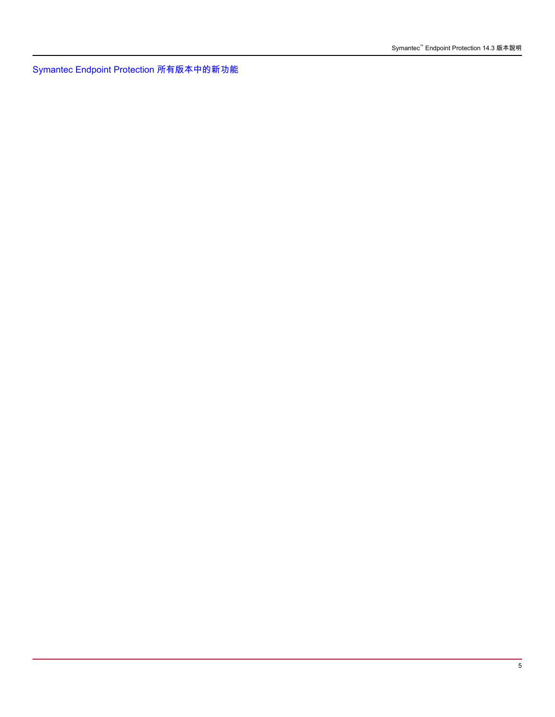[Symantec Endpoint Protection](http://entced.symantec.com/sep/14/whats_new_all) 所有版本中的新功能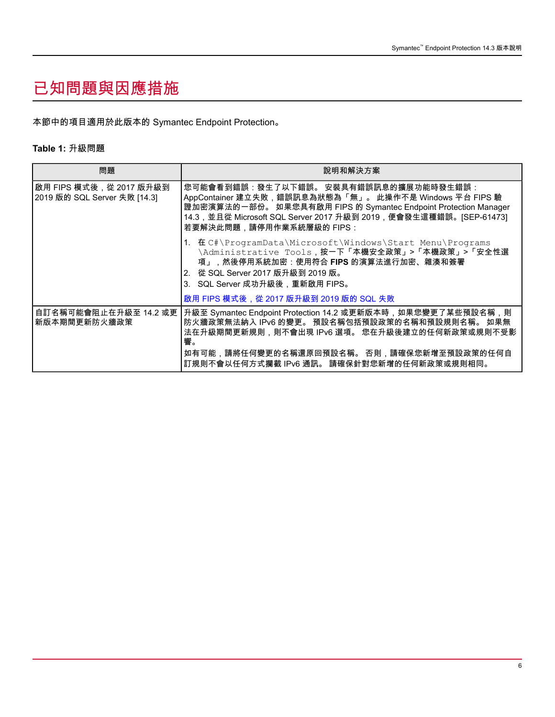## <span id="page-5-0"></span>已知問題與因應措施

本節中的項目適用於此版本的 Symantec Endpoint Protection。

### **Table 1:** 升級問題

| 問題                                                       | 說明和解決方案                                                                                                                                                                                                                                                                               |
|----------------------------------------------------------|---------------------------------------------------------------------------------------------------------------------------------------------------------------------------------------------------------------------------------------------------------------------------------------|
| 啟用 FIPS 模式後, 從 2017 版升級到<br>2019 版的 SQL Server 失敗 [14.3] | 您可能會看到錯誤:發生了以下錯誤。 安裝具有錯誤訊息的擴展功能時發生錯誤:<br>AppContainer 建立失敗,錯誤訊息為狀態為「無」。 此操作不是 Windows 平台 FIPS 驗<br>證加密演算法的一部份。 如果您具有啟用 FIPS 的 Symantec Endpoint Protection Manager<br>14.3,並且從 Microsoft SQL Server 2017 升級到 2019,便會發生這種錯誤。[SEP-61473]<br>若要解決此問題,請停用作業系統層級的 FIPS:                    |
|                                                          | 1. 在 C#\ProgramData\Microsoft\Windows\Start Menu\Programs<br>\Administrative Tools,按一下「本機安全政策」>「本機政策」>「安全性選<br>項」,然後停用系統加密:使用符合 FIPS 的演算法進行加密、雜湊和簽署<br>2. 從 SQL Server 2017 版升級到 2019 版。<br>3.   SQL Server 成功升級後,重新啟用 FIPS。                                                          |
|                                                          | 啟用 FIPS 模式後,從 2017 版升級到 2019 版的 SQL 失敗                                                                                                                                                                                                                                                |
| 新版本期間更新防火牆政策                                             | 自訂名稱可能會阻止在升級至 14.2 或更  升級至 Symantec Endpoint Protection 14.2 或更新版本時,如果您變更了某些預設名稱,則<br>防火牆政策無法納入 IPv6 的變更。 預設名稱包括預設政策的名稱和預設規則名稱。 如果無<br>法在升級期間更新規則,則不會出現 IPv6 選項。 您在升級後建立的任何新政策或規則不受影<br>響。<br>如有可能,請將任何變更的名稱還原回預設名稱。 否則,請確保您新增至預設政策的任何自<br>訂規則不會以任何方式攔截 IPv6 通訊。 請確保針對您新增的任何新政策或規則相同。 |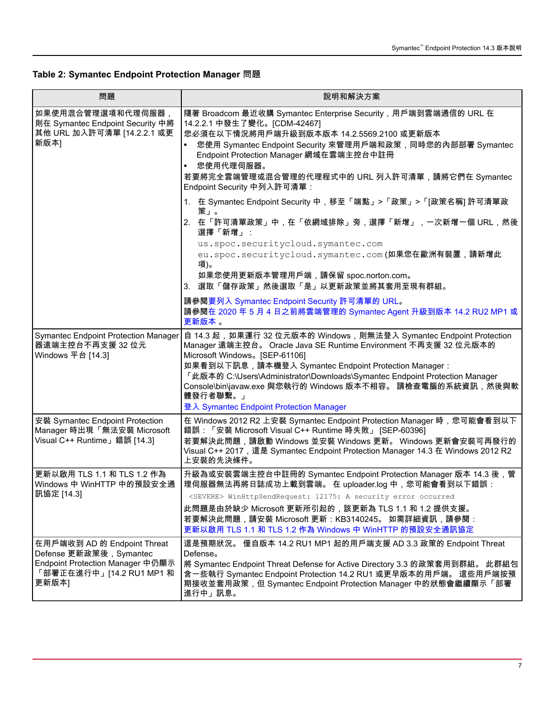**Table 2: Symantec Endpoint Protection Manager** 問題

| 問題                                                                                                                              | 說明和解決方案                                                                                                                                                                                                                                                                                                                                                                                                                           |
|---------------------------------------------------------------------------------------------------------------------------------|-----------------------------------------------------------------------------------------------------------------------------------------------------------------------------------------------------------------------------------------------------------------------------------------------------------------------------------------------------------------------------------------------------------------------------------|
| 如果使用混合管理選項和代理伺服器,<br>則在 Symantec Endpoint Security 中將<br>其他 URL 加入許可清單 [14.2.2.1 或更<br>新版本]                                     | 隨著 Broadcom 最近收購 Symantec Enterprise Security,用戶端到雲端通信的 URL 在<br>14.2.2.1 中發生了變化。[CDM-42467]<br>您必須在以下情況將用戶端升級到版本版本 14.2.5569.2100 或更新版本<br>您使用 Symantec Endpoint Security 來管理用戶端和政策,同時您的內部部署 Symantec<br>Endpoint Protection Manager 網域在雲端主控台中註冊<br>您使用代理伺服器。<br>$\bullet$<br>若要將完全雲端管理或混合管理的代理程式中的 URL 列入許可清單,請將它們在 Symantec<br>Endpoint Security 中列入許可清單:                                                                      |
|                                                                                                                                 | 1. 在 Symantec Endpoint Security 中,移至「端點」>「政策」>「[政策名稱] 許可清單政<br>策」。<br>2. 在「許可清單政策」中,在「依網域排除」旁,選擇「新增」,一次新增一個 URL,然後<br>選擇「新增」:<br>us.spoc.securitycloud.symantec.com<br>eu.spoc.securitycloud.symantec.com(如果您在歐洲有裝置,請新增此<br>項)。                                                                                                                                                                                                   |
|                                                                                                                                 | 如果您使用更新版本管理用戶端,請保留 spoc.norton.com。<br>3. 選取「儲存政策」然後選取「是」以更新政策並將其套用至現有群組。                                                                                                                                                                                                                                                                                                                                                         |
|                                                                                                                                 | 請參閱要列入 Symantec Endpoint Security 許可清單的 URL。<br>請參閱在 2020 年 5 月 4 日之前將雲端管理的 Symantec Agent 升級到版本 14.2 RU2 MP1 或<br>更新版本。                                                                                                                                                                                                                                                                                                          |
| <b>Symantec Endpoint Protection Manager</b><br>器遠端主控台不再支援 32 位元<br>Windows 平台 [14.3]                                            | 自 14.3 起,如果運行 32 位元版本的 Windows,則無法登入 Symantec Endpoint Protection<br>Manager 遠端主控台。 Oracle Java SE Runtime Environment 不再支援 32 位元版本的<br>Microsoft Windows。[SEP-61106]<br>如果看到以下訊息,請本機登入 Symantec Endpoint Protection Manager:<br>「此版本的 C:\Users\Administrator\Downloads\Symantec Endpoint Protection Manager<br>Console\bin\javaw.exe 與您執行的 Windows 版本不相容。 請檢查電腦的系統資訊,然後與軟<br>體發行者聯繫。」<br>登入 Symantec Endpoint Protection Manager |
| 安裝 Symantec Endpoint Protection<br>Manager 時出現「無法安裝 Microsoft<br>Visual C++ Runtime」錯誤 [14.3]                                   | 在 Windows 2012 R2 上安裝 Symantec Endpoint Protection Manager 時,您可能會看到以下<br>錯誤:「安裝 Microsoft Visual C++ Runtime 時失敗」 [SEP-60396]<br>若要解決此問題,請啟動 Windows 並安裝 Windows 更新。 Windows 更新會安裝可再發行的<br>Visual C++ 2017, 這是 Symantec Endpoint Protection Manager 14.3 在 Windows 2012 R2<br>上安裝的先決條件。                                                                                                                                           |
| 更新以啟用 TLS 1.1 和 TLS 1.2 作為<br>Windows 中 WinHTTP 中的預設安全通<br>訊協定 [14.3]                                                           | 升級為或安裝雲端主控台中註冊的 Symantec Endpoint Protection Manager 版本 14.3 後,管<br>理伺服器無法再將日誌成功上載到雲端。 在 uploader.log 中,您可能會看到以下錯誤:<br><severe> WinHttpSendRequest: 12175: A security error occurred<br/>此問題是由於缺少 Microsoft 更新所引起的,該更新為 TLS 1.1 和 1.2 提供支援。<br/>若要解決此問題,請安裝 Microsoft 更新: KB3140245。 如需詳細資訊,請參閱:<br/>更新以啟用 TLS 1.1 和 TLS 1.2 作為 Windows 中 WinHTTP 的預設安全通訊協定</severe>                                                              |
| 在用戶端收到 AD 的 Endpoint Threat<br>Defense 更新政策後, Symantec<br>Endpoint Protection Manager 中仍顯示<br>「部署正在進行中」[14.2 RU1 MP1 和<br>更新版本] | 這是預期狀況。 僅自版本 14.2 RU1 MP1 起的用戶端支援 AD 3.3 政策的 Endpoint Threat<br>Defense <sub>o</sub><br>將 Symantec Endpoint Threat Defense for Active Directory 3.3 的政策套用到群組。 此群組包<br>含一些執行 Symantec Endpoint Protection 14.2 RU1 或更早版本的用戶端。 這些用戶端按預<br>期接收並套用政策,但 Symantec Endpoint Protection Manager 中的狀態會繼續顯示「部署<br>進行中」訊息。                                                                                                                   |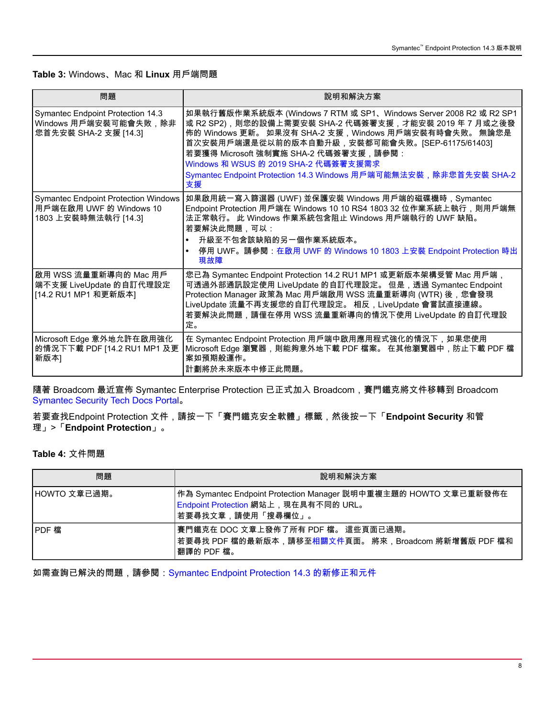### **Table 3:** Windows、Mac 和 **Linux** 用戶端問題

| 問題                                                                                             | 說明和解決方案                                                                                                                                                                                                                                                                                                                                                                                           |
|------------------------------------------------------------------------------------------------|---------------------------------------------------------------------------------------------------------------------------------------------------------------------------------------------------------------------------------------------------------------------------------------------------------------------------------------------------------------------------------------------------|
| <b>Symantec Endpoint Protection 14.3</b><br>Windows 用戶端安裝可能會失敗,除非<br>您首先安裝 SHA-2 支援 [14.3]     | 如果執行舊版作業系統版本 (Windows 7 RTM 或 SP1、Windows Server 2008 R2 或 R2 SP1<br>或 R2 SP2),則您的設備上需要安裝 SHA-2 代碼簽署支援,才能安裝 2019 年 7 月或之後發<br>佈的 Windows 更新。 如果沒有 SHA-2 支援,Windows 用戶端安裝有時會失敗。 無論您是<br>首次安裝用戶端還是從以前的版本自動升級,安裝都可能會失敗。[SEP-61175/61403]<br>若要獲得 Microsoft 強制實施 SHA-2 代碼簽署支援,請參閱:<br>Windows 和 WSUS 的 2019 SHA-2 代碼簽署支援需求<br>Symantec Endpoint Protection 14.3 Windows 用戶端可能無法安裝,除非您首先安裝 SHA-2<br>支援 |
| <b>Symantec Endpoint Protection Windows</b><br>用戶端在啟用 UWF 的 Windows 10<br>1803 上安裝時無法執行 [14.3] | 如果啟用統一寫入篩選器 (UWF) 並保護安裝 Windows 用戶端的磁碟機時,Symantec<br>Endpoint Protection 用戶端在 Windows 10 10 RS4 1803 32 位作業系統上執行,則用戶端無<br>法正常執行。 此 Windows 作業系統包含阻止 Windows 用戶端執行的 UWF 缺陷。<br>若要解決此問題,可以:<br>升級至不包含該缺陷的另一個作業系統版本。<br>停用 UWF。請參閱:在啟用 UWF 的 Windows 10 1803 上安裝 Endpoint Protection 時出<br>$\bullet$<br>現故障                                                                                          |
| 啟用 WSS 流量重新導向的 Mac 用戶<br>端不支援 LiveUpdate 的自訂代理設定<br>[14.2 RU1 MP1 和更新版本]                       | 您已為 Symantec Endpoint Protection 14.2 RU1 MP1 或更新版本架構受管 Mac 用戶端,<br>可透過外部通訊設定使用 LiveUpdate 的自訂代理設定。 但是,透過 Symantec Endpoint<br>Protection Manager 政策為 Mac 用戶端啟用 WSS 流量重新導向 (WTR) 後,您會發現<br>LiveUpdate 流量不再支援您的自訂代理設定。 相反, LiveUpdate 會嘗試直接連線。<br>若要解決此問題,請僅在停用 WSS 流量重新導向的情況下使用 LiveUpdate 的自訂代理設<br>定。                                                                                           |
| Microsoft Edge 意外地允許在啟用強化<br>的情況下下載 PDF [14.2 RU1 MP1 及更<br>新版本]                               | 在 Symantec Endpoint Protection 用戶端中啟用應用程式強化的情況下,如果您使用<br>Microsoft Edge 瀏覽器,則能夠意外地下載 PDF 檔案。 在其他瀏覽器中,防止下載 PDF 檔<br>案如預期般運作。<br>計劃將於未來版本中修正此問題。                                                                                                                                                                                                                                                    |

隨著 Broadcom 最近宣佈 Symantec Enterprise Protection 已正式加入 Broadcom,賽門鐵克將文件移轉到 Broadcom [Symantec](https://techdocs.broadcom.com/content/broadcom/techdocs.html#endpoint-security-and-management) Security Tech Docs Portal。

若要查找Endpoint Protection 文件,請按一下「賽門鐵克安全軟體」標籤,然後按一下「**Endpoint Security** 和管 理」>「**Endpoint Protection**」。

### **Table 4:** 文件問題

| 問題           | 說明和解決方案                                                                                                                         |
|--------------|---------------------------------------------------------------------------------------------------------------------------------|
| HOWTO 文章已過期。 | │作為 Symantec Endpoint Protection Manager 説明中重複主題的 HOWTO 文章已重新發佈在<br>Endpoint Protection 網站上, 現在具有不同的 URL。<br> 若要尋找文章,請使用「搜尋欄位」。 |
| IPDF 檔       | 賽門鐵克在 DOC 文章上發佈了所有 PDF 檔。 這些頁面已過期。<br>若要尋找 PDF 檔的最新版本,請移至相關文件頁面。 將來,Broadcom 將新增舊版 PDF 檔和<br>翻譯的 PDF 檔。                         |

如需查詢已解決的問題,請參閱:[Symantec Endpoint Protection 14.3](http://ced.broadcom.com/sep/14.3/new_fixes) 的新修正和元件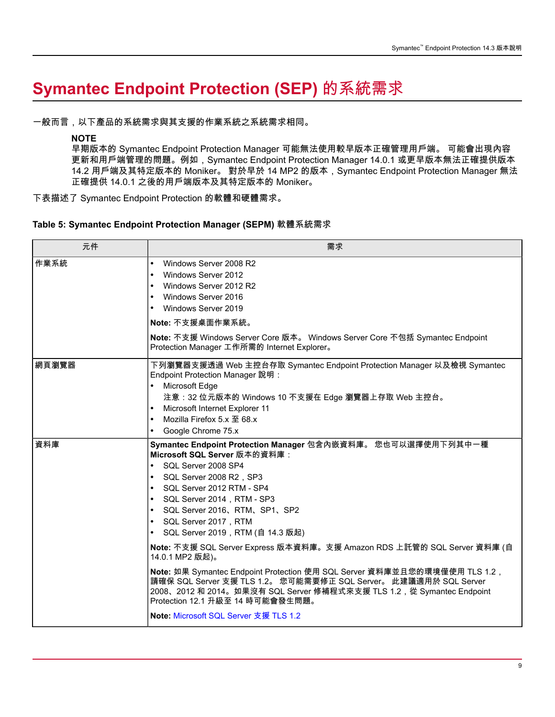# <span id="page-8-0"></span>**Symantec Endpoint Protection (SEP)** 的系統需求

一般而言,以下產品的系統需求與其支援的作業系統之系統需求相同。

### **NOTE**

早期版本的 Symantec Endpoint Protection Manager 可能無法使用較早版本正確管理用戶端。 可能會出現內容 更新和用戶端管理的問題。例如,Symantec Endpoint Protection Manager 14.0.1 或更早版本無法正確提供版本 14.2 用戶端及其特定版本的 Moniker。 對於早於 14 MP2 的版本,Symantec Endpoint Protection Manager 無法 正確提供 14.0.1 之後的用戶端版本及其特定版本的 Moniker。

下表描述了 Symantec Endpoint Protection 的軟體和硬體需求。

### **Table 5: Symantec Endpoint Protection Manager (SEPM)** 軟體系統需求

| 元件    | 需求                                                                                                                                                                                                                                                                                                                                                                                                                                                                                                                                                                                                                                                                                                                                                                                                           |
|-------|--------------------------------------------------------------------------------------------------------------------------------------------------------------------------------------------------------------------------------------------------------------------------------------------------------------------------------------------------------------------------------------------------------------------------------------------------------------------------------------------------------------------------------------------------------------------------------------------------------------------------------------------------------------------------------------------------------------------------------------------------------------------------------------------------------------|
| 作業系統  | Windows Server 2008 R2<br>$\bullet$<br>Windows Server 2012<br>$\bullet$<br>Windows Server 2012 R2<br>$\bullet$<br>Windows Server 2016<br>$\bullet$<br>Windows Server 2019<br>$\bullet$<br>Note: 不支援桌面作業系統。<br>Note: 不支援 Windows Server Core 版本。 Windows Server Core 不包括 Symantec Endpoint<br>Protection Manager 工作所需的 Internet Explorer。                                                                                                                                                                                                                                                                                                                                                                                                                                                                     |
| 網頁瀏覽器 | 下列瀏覽器支援透過 Web 主控台存取 Symantec Endpoint Protection Manager 以及檢視 Symantec<br>Endpoint Protection Manager 說明:<br>Microsoft Edge<br>$\bullet$<br>注意:32 位元版本的 Windows 10 不支援在 Edge 瀏覽器上存取 Web 主控台。<br>Microsoft Internet Explorer 11<br>Mozilla Firefox 5.x 至 68.x<br>$\bullet$<br>Google Chrome 75.x<br>$\bullet$                                                                                                                                                                                                                                                                                                                                                                                                                                                                                                 |
| 資料庫   | Symantec Endpoint Protection Manager 包含內嵌資料庫。 您也可以選擇使用下列其中一種<br>Microsoft SQL Server 版本的資料庫:<br>$\bullet$<br>SQL Server 2008 SP4<br>SQL Server 2008 R2, SP3<br>$\bullet$<br>SQL Server 2012 RTM - SP4<br>$\bullet$<br>SQL Server 2014, RTM - SP3<br>$\bullet$<br>SQL Server 2016, RTM, SP1, SP2<br>$\bullet$<br>SQL Server 2017,RTM<br>$\bullet$<br>SQL Server 2019,RTM (自 14.3 版起)<br>$\bullet$<br>Note: 不支援 SQL Server Express 版本資料庫。支援 Amazon RDS 上託管的 SQL Server 資料庫 (自<br>14.0.1 MP2 版起)。<br>Note: 如果 Symantec Endpoint Protection 使用 SQL Server 資料庫並且您的環境僅使用 TLS 1.2,<br>請確保 SQL Server 支援 TLS 1.2。 您可能需要修正 SQL Server。 此建議適用於 SQL Server<br>2008、2012 和 2014。如果沒有 SQL Server 修補程式來支援 TLS 1.2, 從 Symantec Endpoint<br>Protection 12.1 升級至 14 時可能會發生問題。<br><b>Note: Microsoft SQL Server 支援 TLS 1.2</b> |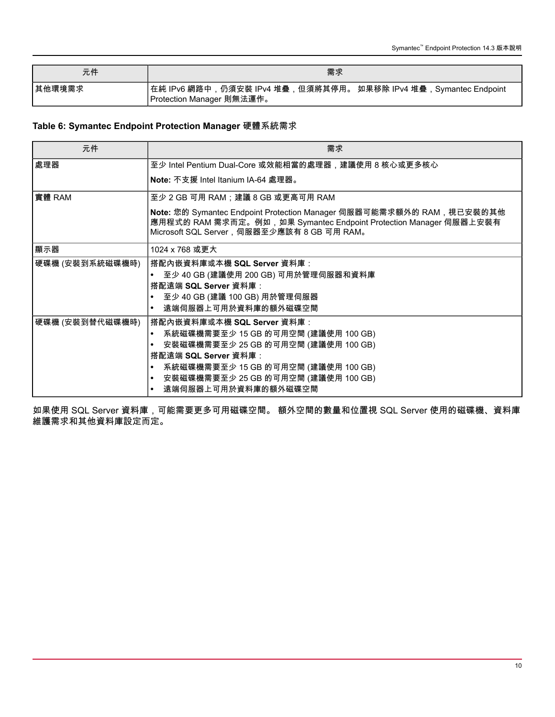| 元件      | 需求                                                                                              |
|---------|-------------------------------------------------------------------------------------------------|
| │其他環境需求 | │在純 IPv6 網路中,仍須安裝 IPv4 堆疊,但須將其停用。 如果移除 IPv4 堆疊,Symantec Endpoint<br>I Protection Manager 則無法運作。 |

### **Table 6: Symantec Endpoint Protection Manager** 硬體系統需求

| 元件              | 需求                                                                                                                                                                                       |
|-----------------|------------------------------------------------------------------------------------------------------------------------------------------------------------------------------------------|
| 處理器             | 至少 Intel Pentium Dual-Core 或效能相當的處理器,建議使用 8 核心或更多核心                                                                                                                                      |
|                 | Note: 不支援 Intel Itanium IA-64 處理器。                                                                                                                                                       |
| 實體 RAM          | 至少 2 GB 可用 RAM;建議 8 GB 或更高可用 RAM                                                                                                                                                         |
|                 | Note: 您的 Symantec Endpoint Protection Manager 伺服器可能需求額外的 RAM,視已安裝的其他<br>應用程式的 RAM 需求而定。例如,如果 Symantec Endpoint Protection Manager 伺服器上安裝有<br>Microsoft SQL Server, 伺服器至少應該有 8 GB 可用 RAM。 |
| 顯示器             | 1024 x 768 或更大                                                                                                                                                                           |
| 硬碟機 (安裝到系統磁碟機時) | 搭配內嵌資料庫或本機 SQL Server 資料庫:                                                                                                                                                               |
|                 | 至少 40 GB (建議使用 200 GB) 可用於管理伺服器和資料庫                                                                                                                                                      |
|                 | 搭配遠端 SQL Server 資料庫:                                                                                                                                                                     |
|                 | 至少 40 GB (建議 100 GB) 用於管理伺服器                                                                                                                                                             |
|                 | 遠端伺服器上可用於資料庫的額外磁碟空間                                                                                                                                                                      |
| 硬碟機 (安裝到替代磁碟機時) | 搭配內嵌資料庫或本機 SQL Server 資料庫:                                                                                                                                                               |
|                 | 系統磁碟機需要至少 15 GB 的可用空間 (建議使用 100 GB)<br>$\bullet$                                                                                                                                         |
|                 | 安裝磁碟機需要至少 25 GB 的可用空間 (建議使用 100 GB)                                                                                                                                                      |
|                 | 搭配遠端 SQL Server 資料庫:                                                                                                                                                                     |
|                 | 系統磁碟機需要至少 15 GB 的可用空間 (建議使用 100 GB)<br>$\bullet$                                                                                                                                         |
|                 | 安裝磁碟機需要至少 25 GB 的可用空間 (建議使用 100 GB)                                                                                                                                                      |
|                 | 遠端伺服器上可用於資料庫的額外磁碟空間                                                                                                                                                                      |

如果使用 SQL Server 資料庫,可能需要更多可用磁碟空間。 額外空間的數量和位置視 SQL Server 使用的磁碟機、資料庫 ……<br>維護需求和其他資料庫設定而定。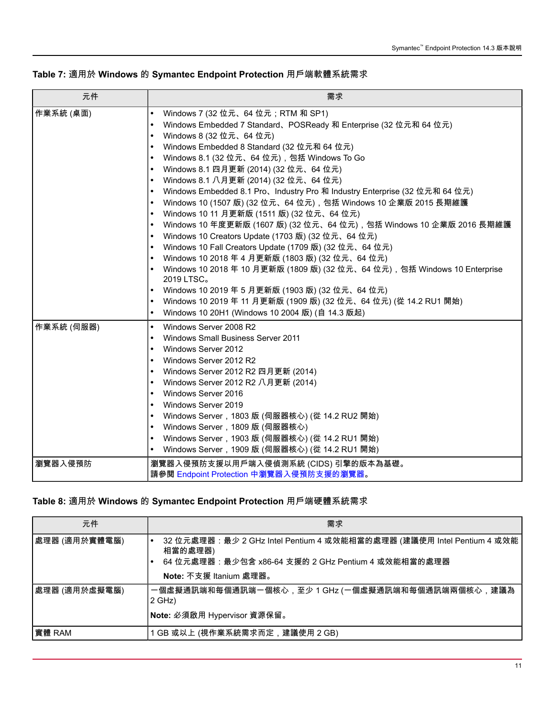|  |  |  |  |  | Table 7: 適用於 Windows 的 Symantec Endpoint Protection 用戶端軟體系統需求 |
|--|--|--|--|--|---------------------------------------------------------------|
|--|--|--|--|--|---------------------------------------------------------------|

| 元件         | 需求                                                                                      |
|------------|-----------------------------------------------------------------------------------------|
| 作業系統 (桌面)  | Windows 7 (32 位元、64 位元;RTM 和 SP1)<br>$\bullet$                                          |
|            | Windows Embedded 7 Standard, POSReady 和 Enterprise (32 位元和 64 位元)<br>$\bullet$          |
|            | Windows 8 (32 位元、64 位元)<br>$\bullet$                                                    |
|            | Windows Embedded 8 Standard (32 位元和 64 位元)<br>$\bullet$                                 |
|            | Windows 8.1 (32 位元、64 位元), 包括 Windows To Go<br>$\bullet$                                |
|            | Windows 8.1 四月更新 (2014) (32 位元、64 位元)<br>$\bullet$                                      |
|            | Windows 8.1 八月更新 (2014) (32 位元、64 位元)                                                   |
|            | Windows Embedded 8.1 Pro、Industry Pro 和 Industry Enterprise (32 位元和 64 位元)<br>$\bullet$ |
|            | Windows 10 (1507 版) (32 位元、64 位元), 包括 Windows 10 企業版 2015 長期維護<br>$\bullet$             |
|            | Windows 10 11 月更新版 (1511 版) (32 位元、64 位元)<br>$\bullet$                                  |
|            | Windows 10 年度更新版 (1607 版) (32 位元、64 位元),包括 Windows 10 企業版 2016 長期維護<br>$\bullet$        |
|            | Windows 10 Creators Update (1703 版) (32 位元、64 位元)<br>$\bullet$                          |
|            | Windows 10 Fall Creators Update (1709 版) (32 位元、64 位元)<br>$\bullet$                     |
|            | Windows 10 2018 年 4 月更新版 (1803 版) (32 位元、64 位元)<br>$\bullet$                            |
|            | Windows 10 2018 年 10 月更新版 (1809 版) (32 位元、64 位元),包括 Windows 10 Enterprise<br>2019 LTSC。 |
|            | Windows 10 2019 年 5 月更新版 (1903 版) (32 位元、64 位元)                                         |
|            | Windows 10 2019 年 11 月更新版 (1909 版) (32 位元、64 位元) (從 14.2 RU1 開始)                        |
|            | Windows 10 20H1 (Windows 10 2004 版) (自 14.3 版起)<br>$\bullet$                            |
| 作業系統 (伺服器) | Windows Server 2008 R2<br>$\bullet$                                                     |
|            | <b>Windows Small Business Server 2011</b><br>$\bullet$                                  |
|            | Windows Server 2012<br>$\bullet$                                                        |
|            | Windows Server 2012 R2<br>$\bullet$                                                     |
|            | Windows Server 2012 R2 四月更新 (2014)<br>$\bullet$                                         |
|            | Windows Server 2012 R2 八月更新 (2014)<br>$\bullet$                                         |
|            | Windows Server 2016<br>$\bullet$                                                        |
|            | Windows Server 2019<br>$\bullet$                                                        |
|            | Windows Server,1803 版 (伺服器核心) (從 14.2 RU2 開始)<br>$\bullet$                              |
|            | Windows Server,1809 版 (伺服器核心)<br>$\bullet$                                              |
|            | Windows Server, 1903 版 (伺服器核心) (從 14.2 RU1 開始)<br>$\bullet$                             |
|            | Windows Server,1909 版 (伺服器核心) (從 14.2 RU1 開始)<br>$\bullet$                              |
| 瀏覽器入侵預防    | 瀏覽器入侵預防支援以用戶端入侵偵測系統 (CIDS) 引擎的版本為基礎。<br>請參閱 Endpoint Protection 中瀏覽器入侵預防支援的瀏覽器。         |

### **Table 8:** 適用於 **Windows** 的 **Symantec Endpoint Protection** 用戶端硬體系統需求

| 元件            | 需求                                                                                                                                     |
|---------------|----------------------------------------------------------------------------------------------------------------------------------------|
| 處理器 (適用於實體電腦) | 32 位元處理器:最少 2 GHz Intel Pentium 4 或效能相當的處理器 (建議使用 Intel Pentium 4 或效能<br>相當的處理器)<br>64 位元處理器:最少包含 x86-64 支援的 2 GHz Pentium 4 或效能相當的處理器 |
|               | Note: 不支援 Itanium 處理器。                                                                                                                 |
| 處理器 (適用於虛擬電腦) | 一個虛擬通訊端和每個通訊端一個核心,至少 1 GHz (一個虛擬通訊端和每個通訊端兩個核心,建議為<br>2 GHz)                                                                            |
|               | Note: 必須啟用 Hypervisor 資源保留。                                                                                                            |
| 實體 RAM        | GB 或以上 (視作業系統需求而定,建議使用 2 GB)                                                                                                           |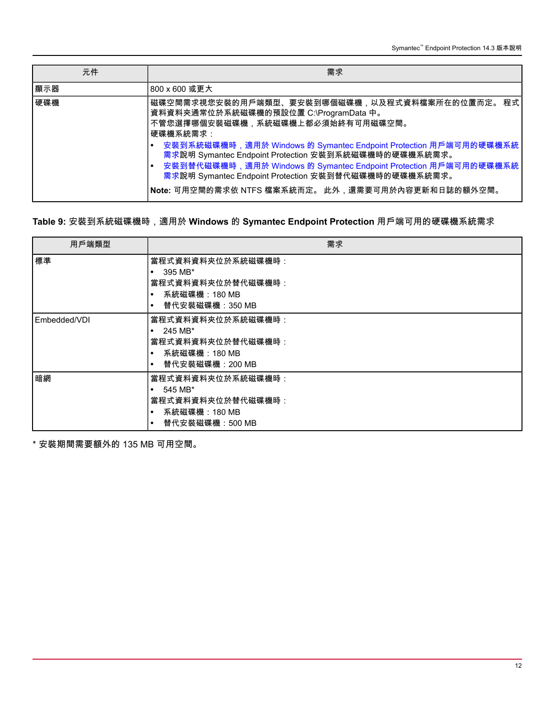| 元件  | 需求                                                                                                                                                                                                                                                                                                                                                                                                                                                    |
|-----|-------------------------------------------------------------------------------------------------------------------------------------------------------------------------------------------------------------------------------------------------------------------------------------------------------------------------------------------------------------------------------------------------------------------------------------------------------|
| 顯示器 | 800 x 600 或更大                                                                                                                                                                                                                                                                                                                                                                                                                                         |
| 硬碟機 | 磁碟空間需求視您安裝的用戶端類型、要安裝到哪個磁碟機,以及程式資料檔案所在的位置而定。 程式<br>資料資料夾通常位於系統磁碟機的預設位置 C:\ProgramData 中。<br>不管您選擇哪個安裝磁碟機,系統磁碟機上都必須始終有可用磁碟空間。<br>硬碟機系統需求:<br>安裝到系統磁碟機時,適用於 Windows 的 Symantec Endpoint Protection 用戶端可用的硬碟機系統<br>需求說明 Symantec Endpoint Protection 安裝到系統磁碟機時的硬碟機系統需求。<br>安裝到替代磁碟機時,適用於 Windows 的 Symantec Endpoint Protection 用戶端可用的硬碟機系統<br>需求說明 Symantec Endpoint Protection 安裝到替代磁碟機時的硬碟機系統需求。<br>Note: 可用空間的需求依 NTFS 檔案系統而定。 此外,還需要可用於內容更新和日誌的額外空間。 |

### **Table 9:** 安裝到系統磁碟機時,適用於 **Windows** 的 **Symantec Endpoint Protection** 用戶端可用的硬碟機系統需求

| 用戶端類型        | 需求                                                                                                              |
|--------------|-----------------------------------------------------------------------------------------------------------------|
| 標準           | 當程式資料資料夾位於系統磁碟機時:<br>395 MB*<br>٠<br>當程式資料資料夾位於替代磁碟機時:<br>系統磁碟機:180 MB<br>$\bullet$<br>替代安裝磁碟機:350 MB           |
| Embedded/VDI | 當程式資料資料夾位於系統磁碟機時:<br>245 MB*<br>$\bullet$<br>當程式資料資料夾位於替代磁碟機時:<br>系統磁碟機:180 MB<br>替代安裝磁碟機:200 MB<br>$\bullet$   |
| 暗網           | 當程式資料資料夾位於系統磁碟機時:<br>545 MB*<br>$\bullet$<br>當程式資料資料夾位於替代磁碟機時:<br>系統磁碟機: 180 MB<br>替代安裝磁碟機: 500 MB<br>$\bullet$ |

\* 安裝期間需要額外的 135 MB 可用空間。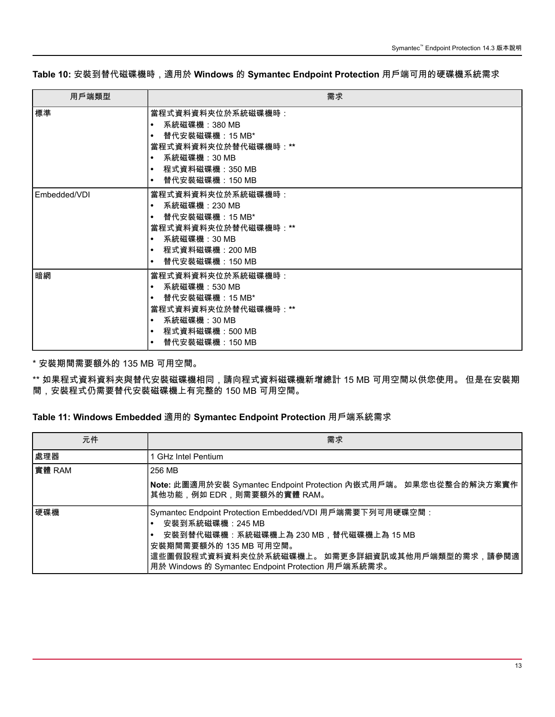**Table 10:** 安裝到替代磁碟機時,適用於 **Windows** 的 **Symantec Endpoint Protection** 用戶端可用的硬碟機系統需求

| 用戶端類型        | 需求                                                                                                                                                                                               |
|--------------|--------------------------------------------------------------------------------------------------------------------------------------------------------------------------------------------------|
| 標準           | 當程式資料資料夾位於系統磁碟機時:<br>系統磁碟機:380 MB<br>$\bullet$<br>替代安裝磁碟機:15 MB*<br>$\bullet$<br>當程式資料資料夾位於替代磁碟機時:**<br>系統磁碟機:30 MB<br>$\bullet$<br>程式資料磁碟機:350 MB<br>$\bullet$<br>替代安裝磁碟機:150 MB<br>$\bullet$   |
| Embedded/VDI | 當程式資料資料夾位於系統磁碟機時:<br>系統磁碟機:230 MB<br>$\bullet$<br>替代安裝磁碟機:15 MB*<br>$\bullet$<br>當程式資料資料夾位於替代磁碟機時:**<br>系統磁碟機:30 MB<br>$\bullet$<br>__程式資料磁碟機:200 MB<br>$\bullet$<br>替代安裝磁碟機:150 MB<br>$\bullet$ |
| 暗網           | 當程式資料資料夾位於系統磁碟機時:<br>系統磁碟機:530 MB<br>$\bullet$<br>替代安裝磁碟機:15 MB*<br>$\bullet$<br>當程式資料資料夾位於替代磁碟機時:**<br>系統磁碟機:30 MB<br>$\bullet$<br>程式資料磁碟機:500 MB<br>$\bullet$<br>替代安裝磁碟機:150 MB<br>$\bullet$   |

\* 安裝期間需要額外的 135 MB 可用空間。

\*\* 如果程式資料資料夾與替代安裝磁碟機相同,請向程式資料磁碟機新增總計 15 MB 可用空間以供您使用。 但是在安裝期 間,安裝程式仍需要替代安裝磁碟機上有完整的 150 MB 可用空間。

### **Table 11: Windows Embedded** 適用的 **Symantec Endpoint Protection** 用戶端系統需求

| 元件     | 需求                                                                                                                                                                                                                                                     |
|--------|--------------------------------------------------------------------------------------------------------------------------------------------------------------------------------------------------------------------------------------------------------|
| 處理器    | <b>GHz Intel Pentium</b>                                                                                                                                                                                                                               |
| 實體 RAM | 256 MB                                                                                                                                                                                                                                                 |
|        | Note: 此圖適用於安裝 Symantec Endpoint Protection 內嵌式用戶端。 如果您也從整合的解決方案實作<br>其他功能,例如 EDR,則需要額外的實體 RAM。                                                                                                                                                         |
| 硬碟機    | Symantec Endpoint Protection Embedded/VDI 用戶端需要下列可用硬碟空間:<br>安裝到系統磁碟機:245 MB<br>安裝到替代磁碟機:系統磁碟機上為 230 MB,替代磁碟機上為 15 MB<br>安裝期間需要額外的 135 MB 可用空間。<br>這些圖假設程式資料資料夾位於系統磁碟機上。 如需更多詳細資訊或其他用戶端類型的需求,請參閱適<br>用於 Windows 的 Symantec Endpoint Protection 用戶端系統需求。 |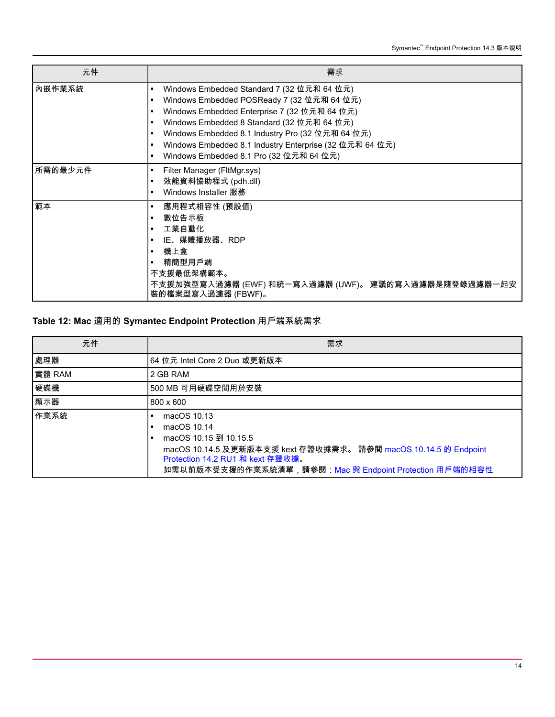| 元件      | 需求                                                                         |
|---------|----------------------------------------------------------------------------|
| 內嵌作業系統  | Windows Embedded Standard 7 (32 位元和 64 位元)<br>$\bullet$                    |
|         | Windows Embedded POSReady 7 (32 位元和 64 位元)                                 |
|         | Windows Embedded Enterprise 7 (32 位元和 64 位元)<br>$\bullet$                  |
|         | Windows Embedded 8 Standard (32 位元和 64 位元)                                 |
|         | Windows Embedded 8.1 Industry Pro (32 位元和 64 位元)<br>$\bullet$              |
|         | Windows Embedded 8.1 Industry Enterprise (32 位元和 64 位元)                    |
|         | Windows Embedded 8.1 Pro (32 位元和 64 位元)                                    |
| 所需的最少元件 | Filter Manager (FltMgr.sys)<br>٠                                           |
|         | 效能資料協助程式 (pdh.dll)<br>$\bullet$                                            |
|         | Windows Installer 服務                                                       |
| 範本      | 應用程式相容性 (預設值)                                                              |
|         | 數位告示板                                                                      |
|         | 工業自動化                                                                      |
|         | IE、媒體播放器、RDP                                                               |
|         | 機上盒                                                                        |
|         | 精簡型用戶端                                                                     |
|         | 不支援最低架構範本。                                                                 |
|         | 不支援加強型寫入過濾器 (EWF) 和統一寫入過濾器 (UWF)。 建議的寫入過濾器是隨登錄過濾器一起安<br>裝的檔案型寫入過濾器 (FBWF)。 |

### **Table 12: Mac** 適用的 **Symantec Endpoint Protection** 用戶端系統需求

| 元件     | 需求                                                                                                                                                                                                                   |
|--------|----------------------------------------------------------------------------------------------------------------------------------------------------------------------------------------------------------------------|
| 處理器    | 64 位元 Intel Core 2 Duo 或更新版本                                                                                                                                                                                         |
| 實體 RAM | 2 GB RAM                                                                                                                                                                                                             |
| 硬碟機    | 500 MB 可用硬碟空間用於安裝                                                                                                                                                                                                    |
| 顯示器    | 800 x 600                                                                                                                                                                                                            |
| 作業系統   | macOS 10.13<br>macOS 10.14<br>macOS 10.15 到 10.15.5<br>macOS 10.14.5 及更新版本支援 kext 存證收據需求。 請參閱 macOS 10.14.5 的 Endpoint<br>Protection 14.2 RU1 和 kext 存證收據。<br>如需以前版本受支援的作業系統清單,請參閱:Mac 與 Endpoint Protection 用戶端的相容性 |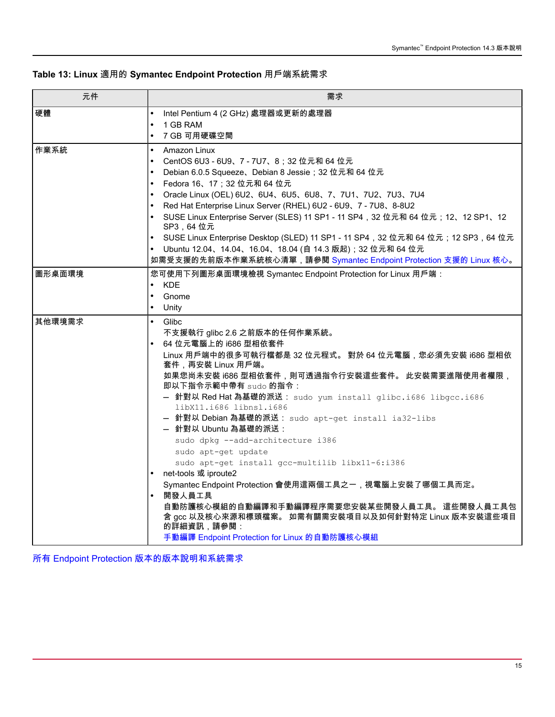### **Table 13: Linux** 適用的 **Symantec Endpoint Protection** 用戶端系統需求

| 元件     | 需求                                                                                            |
|--------|-----------------------------------------------------------------------------------------------|
| 硬體     | Intel Pentium 4 (2 GHz) 處理器或更新的處理器<br>$\bullet$                                               |
|        | 1 GB RAM<br>$\bullet$                                                                         |
|        | 7 GB 可用硬碟空間<br>$\bullet$                                                                      |
| 作業系統   | $\bullet$<br>Amazon Linux                                                                     |
|        | CentOS 6U3 - 6U9、7 - 7U7、8; 32 位元和 64 位元<br>$\bullet$                                         |
|        | Debian 6.0.5 Squeeze、Debian 8 Jessie; 32 位元和 64 位元                                            |
|        | Fedora 16、17; 32 位元和 64 位元<br>$\bullet$                                                       |
|        | Oracle Linux (OEL) 6U2、6U4、6U5、6U8、7、7U1、7U2、7U3、7U4<br>$\bullet$                             |
|        | Red Hat Enterprise Linux Server (RHEL) 6U2 - 6U9、7 - 7U8、8-8U2<br>$\bullet$                   |
|        | SUSE Linux Enterprise Server (SLES) 11 SP1 - 11 SP4, 32 位元和 64 位元; 12、12 SP1、12<br>SP3, 64 位元 |
|        | SUSE Linux Enterprise Desktop (SLED) 11 SP1 - 11 SP4,32 位元和 64 位元;12 SP3,64 位元                |
|        | Ubuntu 12.04、14.04、16.04、18.04 (自 14.3 版起);32 位元和 64 位元<br>$\bullet$                          |
|        | 如需受支援的先前版本作業系統核心清單,請參閱 Symantec Endpoint Protection 支援的 Linux 核心。                             |
| 圖形桌面環境 | 您可使用下列圖形桌面環境檢視 Symantec Endpoint Protection for Linux 用戶端:                                    |
|        | <b>KDE</b>                                                                                    |
|        | Gnome                                                                                         |
|        | Unity<br>$\bullet$                                                                            |
| 其他環境需求 | $\bullet$<br>Glibc                                                                            |
|        | 不支援執行 glibc 2.6 之前版本的任何作業系統。                                                                  |
|        | 64 位元電腦上的 i686 型相依套件                                                                          |
|        | Linux 用戶端中的很多可執行檔都是 32 位元程式。 對於 64 位元電腦,您必須先安裝 i686 型相依<br>套件,再安裝 Linux 用戶端。                  |
|        | 如果您尚未安裝 i686 型相依套件,則可透過指令行安裝這些套件。 此安裝需要進階使用者權限,<br>即以下指令示範中帶有 sudo 的指令:                       |
|        | - 針對以 Red Hat為基礎的派送: sudo yum_install_qlibc.i686_libgcc.i686<br>libX11.i686 libnsl.i686       |
|        | - 針對以 Debian 為基礎的派送: sudo apt-get install ia32-libs<br>- 針對以 Ubuntu 為基礎的派送:                   |
|        | sudo dpkg --add-architecture i386                                                             |
|        | sudo apt-get update                                                                           |
|        | sudo apt-get install gcc-multilib libx11-6:i386                                               |
|        | net-tools 或 iproute2                                                                          |
|        | Symantec Endpoint Protection 會使用這兩個工具之一, 視電腦上安裝了哪個工具而定。                                       |
|        | 開發人員工具                                                                                        |
|        | 自動防護核心模組的自動編譯和手動編譯程序需要您安裝某些開發人員工具。 這些開發人員工具包                                                  |
|        | 含 gcc 以及核心來源和標頭檔案。 如需有關需安裝項目以及如何針對特定 Linux 版本安裝這些項目                                           |
|        | 的詳細資訊,請參閱:                                                                                    |
|        | 手動編譯 Endpoint Protection for Linux 的自動防護核心模組                                                  |

所有 Endpoint Protection [版本的版本說明和系統需求](https://knowledge.broadcom.com/external/article?legacyId=TECH163829)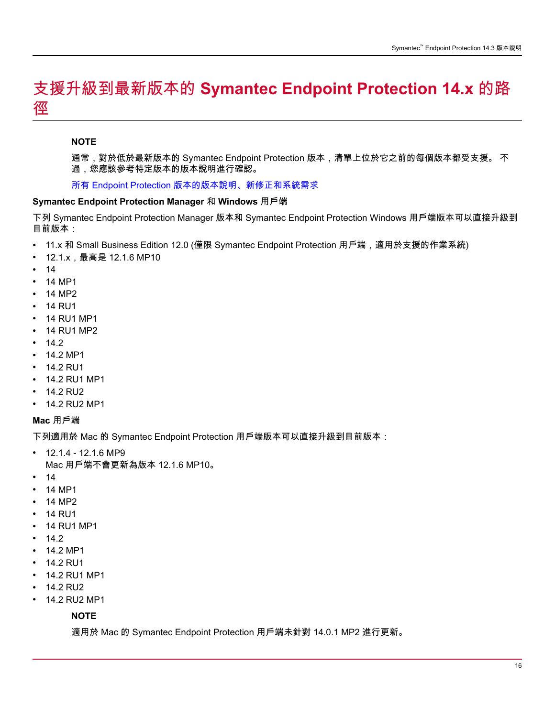## <span id="page-15-0"></span>支援升級到最新版本的 **Symantec Endpoint Protection 14.x** 的路 徑

### **NOTE**

通常,對於低於最新版本的 Symantec Endpoint Protection 版本,清單上位於它之前的每個版本都受支援。 不 過,您應該參考特定版本的版本說明進行確認。

所有 Endpoint Protection [版本的版本說明、新修正和系統需求](http://www.symantec.com/docs/TECH163829)

### **Symantec Endpoint Protection Manager** 和 **Windows** 用戶端

下列 Symantec Endpoint Protection Manager 版本和 Symantec Endpoint Protection Windows 用戶端版本可以直接升級到 目前版本:

- 11.x 和 Small Business Edition 12.0 (僅限 Symantec Endpoint Protection 用戶端,適用於支援的作業系統)
- 12.1.x,最高是 12.1.6 MP10
- 14
- 14 MP1
- 14 MP2
- 14 RU1
- 14 RU1 MP1
- 14 RU1 MP2
- 14.2
- 14.2 MP1
- 14.2 RU1
- 14.2 RU1 MP1
- 14.2 RU2
- 14.2 RU2 MP1

### **Mac** 用戶端

下列適用於 Mac 的 Symantec Endpoint Protection 用戶端版本可以直接升級到目前版本:

- 12.1.4 12.1.6 MP9 Mac 用戶端不會更新為版本 12.1.6 MP10。
- 14
- 14 MP1
- 14 MP2
- 14 RU1
- 14 RU1 MP1
- 14.2
- 14.2 MP1
- 14.2 RU1
- 14.2 RU1 MP1
- 14.2 RU2
- 14.2 RU2 MP1

### **NOTE**

適用於 Mac 的 Symantec Endpoint Protection 用戶端未針對 14.0.1 MP2 進行更新。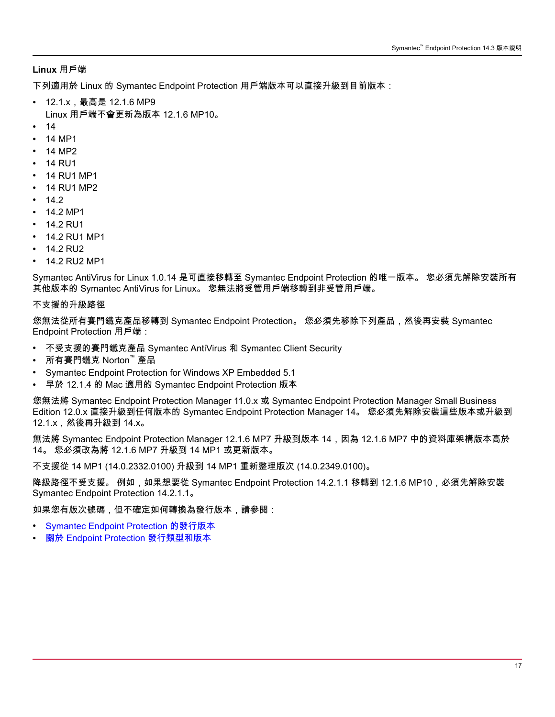### **Linux** 用戶端

下列適用於 Linux 的 Symantec Endpoint Protection 用戶端版本可以直接升級到目前版本:

- 12.1.x,最高是 12.1.6 MP9 Linux 用戶端不會更新為版本 12.1.6 MP10。
- 14
- 14 MP1
- 14 MP2
- 14 RU1
- 14 RU1 MP1
- 14 RU1 MP2
- 14.2
- 14.2 MP1
- 14.2 RU1
- 14.2 RU1 MP1
- 14.2 RU2
- 14.2 RU2 MP1

Symantec AntiVirus for Linux 1.0.14 是可直接移轉至 Symantec Endpoint Protection 的唯一版本。 您必須先解除安裝所有 其他版本的 Symantec AntiVirus for Linux。 您無法將受管用戶端移轉到非受管用戶端。

### 不支援的升級路徑

您無法從所有賽門鐵克產品移轉到 Symantec Endpoint Protection。 您必須先移除下列產品,然後再安裝 Symantec Endpoint Protection 用戶端:

- 不受支援的賽門鐵克產品 Symantec AntiVirus 和 Symantec Client Security
- 所有賽門鐵克 Norton™ 產品
- Symantec Endpoint Protection for Windows XP Embedded 5.1
- 早於 12.1.4 的 Mac 適用的 Symantec Endpoint Protection 版本

您無法將 Symantec Endpoint Protection Manager 11.0.x 或 Symantec Endpoint Protection Manager Small Business Edition 12.0.x 直接升級到任何版本的 Symantec Endpoint Protection Manager 14。 您必須先解除安裝這些版本或升級到 12.1.x,然後再升級到 14.x。

無法將 Symantec Endpoint Protection Manager 12.1.6 MP7 升級到版本 14,因為 12.1.6 MP7 中的資料庫架構版本高於 14。 您必須改為將 12.1.6 MP7 升級到 14 MP1 或更新版本。

不支援從 14 MP1 (14.0.2332.0100) 升級到 14 MP1 重新整理版次 (14.0.2349.0100)。

降級路徑不受支援。 例如,如果想要從 Symantec Endpoint Protection 14.2.1.1 移轉到 12.1.6 MP10,必須先解除安裝 Symantec Endpoint Protection 14.2.1.1。

如果您有版次號碼,但不確定如何轉換為發行版本,請參閱:

- [Symantec Endpoint Protection](https://www.symantec.com/docs/TECH154475) 的發行版本
- 關於 [Endpoint Protection](https://knowledge.broadcom.com/external/article?legacyId=TECH154475) 發行類型和版本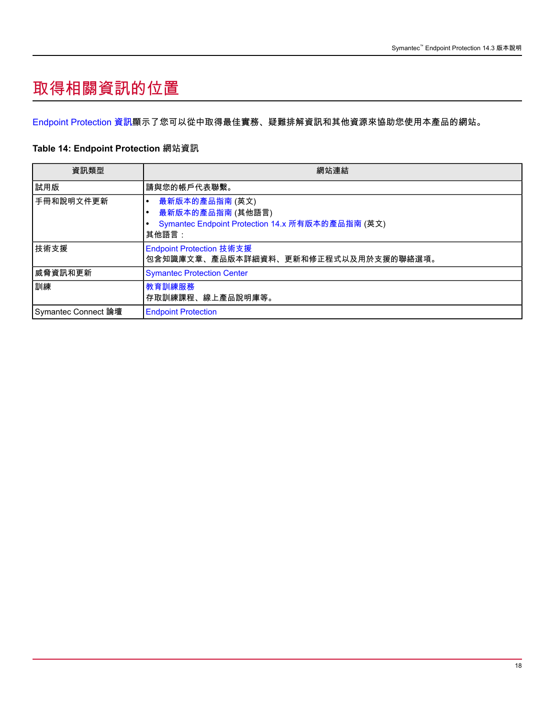# <span id="page-17-0"></span>取得相關資訊的位置

[Endpoint Protection](#page-17-1) 資訊顯示了您可以從中取得最佳實務、疑難排解資訊和其他資源來協助您使用本產品的網站。

### <span id="page-17-1"></span>**Table 14: Endpoint Protection** 網站資訊

| 資訊類型                | 網站連結                                                                                            |
|---------------------|-------------------------------------------------------------------------------------------------|
| 試用版                 | 請與您的帳戶代表聯繫。                                                                                     |
| 手冊和說明文件更新           | 最新版本的產品指南 (英文)<br>最新版本的產品指南 (其他語言)<br>Symantec Endpoint Protection 14.x 所有版本的產品指南 (英文)<br>其他語言: |
| 技術支援                | Endpoint Protection 技術支援<br>包含知識庫文章、產品版本詳細資料、更新和修正程式以及用於支援的聯絡選項。                                |
| 威脅資訊和更新             | <b>Symantec Protection Center</b>                                                               |
| 訓練                  | 教育訓練服務<br>存取訓練課程、線上產品說明庫等。                                                                      |
| Symantec Connect 論壇 | <b>Endpoint Protection</b>                                                                      |